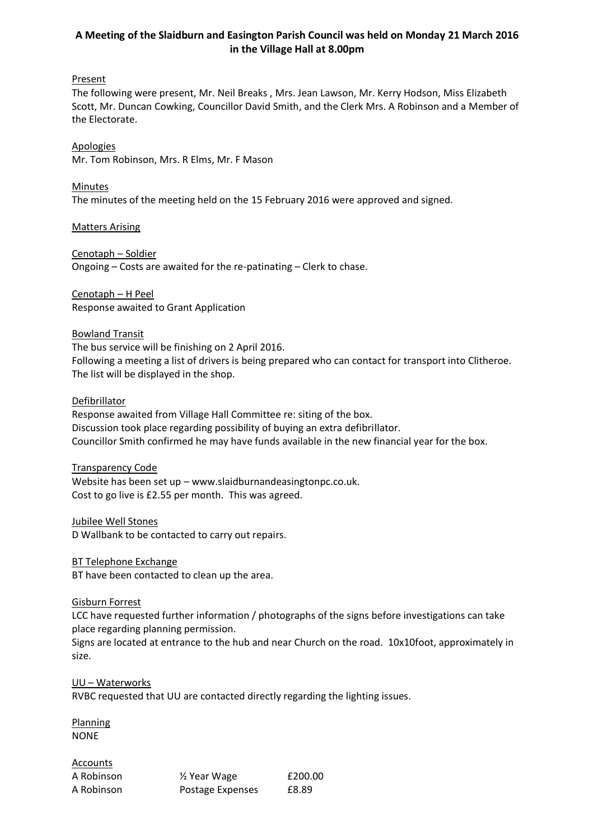# **A Meeting of the Slaidburn and Easington Parish Council was held on Monday 21 March 2016 in the Village Hall at 8.00pm**

## **Present**

The following were present, Mr. Neil Breaks , Mrs. Jean Lawson, Mr. Kerry Hodson, Miss Elizabeth Scott, Mr. Duncan Cowking, Councillor David Smith, and the Clerk Mrs. A Robinson and a Member of the Electorate.

Apologies

Mr. Tom Robinson, Mrs. R Elms, Mr. F Mason

Minutes The minutes of the meeting held on the 15 February 2016 were approved and signed.

Matters Arising

Cenotaph – Soldier Ongoing – Costs are awaited for the re-patinating – Clerk to chase.

Cenotaph – H Peel Response awaited to Grant Application

## Bowland Transit

The bus service will be finishing on 2 April 2016. Following a meeting a list of drivers is being prepared who can contact for transport into Clitheroe. The list will be displayed in the shop.

## **Defibrillator**

Response awaited from Village Hall Committee re: siting of the box. Discussion took place regarding possibility of buying an extra defibrillator. Councillor Smith confirmed he may have funds available in the new financial year for the box.

## Transparency Code

Website has been set up – www.slaidburnandeasingtonpc.co.uk. Cost to go live is £2.55 per month. This was agreed.

### Jubilee Well Stones

D Wallbank to be contacted to carry out repairs.

## BT Telephone Exchange

BT have been contacted to clean up the area.

### Gisburn Forrest

LCC have requested further information / photographs of the signs before investigations can take place regarding planning permission.

Signs are located at entrance to the hub and near Church on the road. 10x10foot, approximately in size.

### UU – Waterworks

RVBC requested that UU are contacted directly regarding the lighting issues.

**Planning** NONE

**Accounts**